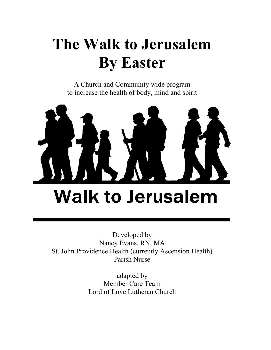# The Walk to Jerusalem By Easter

A Church and Community wide program to increase the health of body, mind and spirit



Developed by Nancy Evans, RN, MA St. John Providence Health (currently Ascension Health) Parish Nurse

> adapted by Member Care Team Lord of Love Lutheran Church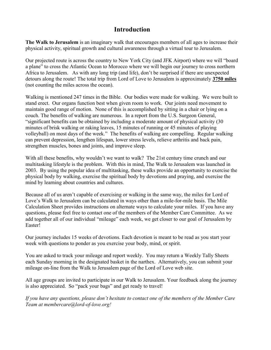### Introduction

The Walk to Jerusalem is an imaginary walk that encourages members of all ages to increase their physical activity, spiritual growth and cultural awareness through a virtual tour to Jerusalem.

Our projected route is across the country to New York City (and JFK Airport) where we will "board a plane" to cross the Atlantic Ocean to Morocco where we will begin our journey to cross northern Africa to Jerusalem. As with any long trip (and life), don't be surprised if there are unexpected detours along the route! The total trip from Lord of Love to Jerusalem is approximately 3750 miles (not counting the miles across the ocean).

Walking is mentioned 247 times in the Bible. Our bodies were made for walking. We were built to stand erect. Our organs function best when given room to work. Our joints need movement to maintain good range of motion. None of this is accomplished by sitting in a chair or lying on a couch. The benefits of walking are numerous. In a report from the U.S. Surgeon General, "significant benefits can be obtained by including a moderate amount of physical activity (30 minutes of brisk walking or raking leaves, 15 minutes of running or 45 minutes of playing volleyball) on most days of the week." The benefits of walking are compelling. Regular walking can prevent depression, lengthen lifespan, lower stress levels, relieve arthritis and back pain, strengthen muscles, bones and joints, and improve sleep.

With all these benefits, why wouldn't we want to walk? The 21st century time crunch and our multitasking lifestyle is the problem. With this in mind, The Walk to Jerusalem was launched in 2003. By using the popular idea of multitasking, these walks provide an opportunity to exercise the physical body by walking, exercise the spiritual body by devotions and praying, and exercise the mind by learning about countries and cultures.

Because all of us aren't capable of exercising or walking in the same way, the miles for Lord of Love's Walk to Jerusalem can be calculated in ways other than a mile-for-mile basis. The Mile Calculation Sheet provides instructions on alternate ways to calculate your miles. If you have any questions, please feel free to contact one of the members of the Member Care Committee. As we add together all of our individual "mileage" each week, we get closer to our goal of Jerusalem by Easter!

Our journey includes 15 weeks of devotions. Each devotion is meant to be read as you start your week with questions to ponder as you exercise your body, mind, or spirit.

You are asked to track your mileage and report weekly. You may return a Weekly Tally Sheets each Sunday morning in the designated basket in the narthex. Alternatively, you can submit your mileage on-line from the Walk to Jerusalem page of the Lord of Love web site.

All age groups are invited to participate in our Walk to Jerusalem. Your feedback along the journey is also appreciated. So "pack your bags" and get ready to travel!

If you have any questions, please don't hesitate to contact one of the members of the Member Care Team at membercare@lord-of-love.org!